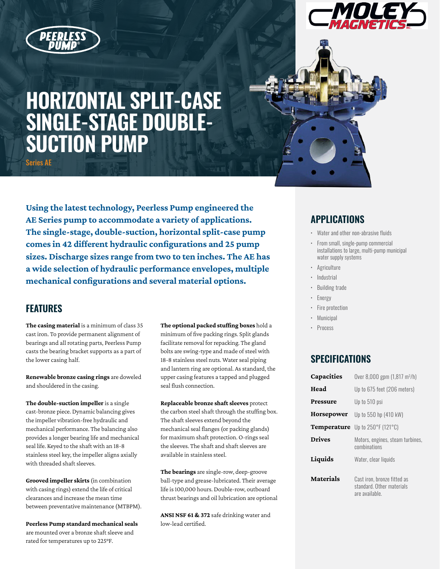

# **HORIZONTAL SPLIT-CASE SINGLE-STAGE DOUBLE-SUCTION PUMP** Series AE

**Using the latest technology, Peerless Pump engineered the AE Series pump to accommodate a variety of applications. The single-stage, double-suction, horizontal split-case pump comes in 42 different hydraulic configurations and 25 pump sizes. Discharge sizes range from two to ten inches. The AE has a wide selection of hydraulic performance envelopes, multiple mechanical configurations and several material options.**

#### **FEATURES**

**The casing material** is a minimum of class 35 cast iron. To provide permanent alignment of bearings and all rotating parts, Peerless Pump casts the bearing bracket supports as a part of the lower casing half.

**Renewable bronze casing rings** are doweled and shouldered in the casing.

**The double-suction impeller** is a single cast-bronze piece. Dynamic balancing gives the impeller vibration-free hydraulic and mechanical performance. The balancing also provides a longer bearing life and mechanical seal life. Keyed to the shaft with an 18-8 stainless steel key, the impeller aligns axially with threaded shaft sleeves.

**Grooved impeller skirts** (in combination with casing rings) extend the life of critical clearances and increase the mean time between preventative maintenance (MTBPM).

**Peerless Pump standard mechanical seals**  are mounted over a bronze shaft sleeve and rated for temperatures up to 225°F.

**The optional packed stuffing boxes** hold a minimum of five packing rings. Split glands facilitate removal for repacking. The gland bolts are swing-type and made of steel with 18-8 stainless steel nuts. Water seal piping and lantern ring are optional. As standard, the upper casing features a tapped and plugged seal flush connection.

**Replaceable bronze shaft sleeves** protect the carbon steel shaft through the stuffing box. The shaft sleeves extend beyond the mechanical seal flanges (or packing glands) for maximum shaft protection. O-rings seal the sleeves. The shaft and shaft sleeves are available in stainless steel.

**The bearings** are single-row, deep-groove ball-type and grease-lubricated. Their average life is 100,000 hours. Double-row, outboard thrust bearings and oil lubrication are optional

**ANSI NSF 61 & 372** safe drinking water and low-lead certified.

### **APPLICATIONS**

- Water and other non-abrasive fluids
- From small, single-pump commercial installations to large, multi-pump municipal water supply systems
- Agriculture
- Industrial
- Building trade
- Energy
- Fire protection
- **Municipal**
- **Process**

### **SPECIFICATIONS**

| Capacities       | Over 8,000 gpm $(1,817 \text{ m}^3/h)$                                     |
|------------------|----------------------------------------------------------------------------|
| Head             | Up to 675 feet (206 meters)                                                |
| Pressure         | Up to 510 psi                                                              |
| Horsepower       | Up to 550 hp (410 kW)                                                      |
|                  | Temperature Up to 250°F (121°C)                                            |
| <b>Drives</b>    | Motors, engines, steam turbines,<br>combinations                           |
| Liquids          | Water, clear liquids                                                       |
| <b>Materials</b> | Cast iron, bronze fitted as<br>standard. Other materials<br>are available. |